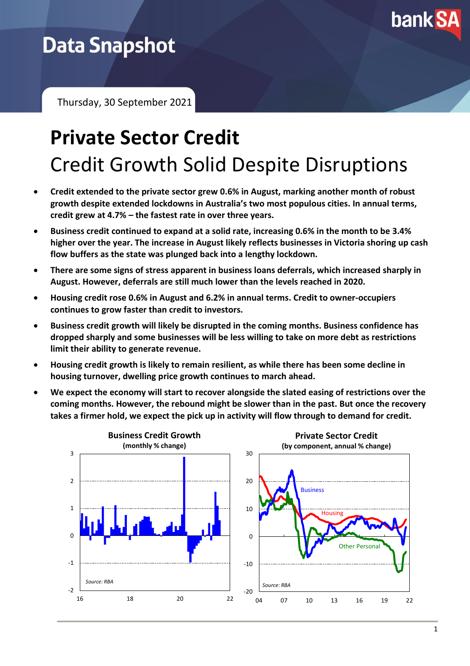

## **Data Snapshot**

Thursday, 30 September 2021

# **Private Sector Credit** Credit Growth Solid Despite Disruptions

- **Credit extended to the private sector grew 0.6% in August, marking another month of robust growth despite extended lockdowns in Australia's two most populous cities. In annual terms, credit grew at 4.7% – the fastest rate in over three years.**
- **Business credit continued to expand at a solid rate, increasing 0.6% in the month to be 3.4% higher over the year. The increase in August likely reflects businesses in Victoria shoring up cash flow buffers as the state was plunged back into a lengthy lockdown.**
- **There are some signs of stress apparent in business loans deferrals, which increased sharply in August. However, deferrals are still much lower than the levels reached in 2020.**
- **Housing credit rose 0.6% in August and 6.2% in annual terms. Credit to owner-occupiers continues to grow faster than credit to investors.**
- **Business credit growth will likely be disrupted in the coming months. Business confidence has dropped sharply and some businesses will be less willing to take on more debt as restrictions limit their ability to generate revenue.**
- **Housing credit growth is likely to remain resilient, as while there has been some decline in housing turnover, dwelling price growth continues to march ahead.**
- **We expect the economy will start to recover alongside the slated easing of restrictions over the coming months. However, the rebound might be slower than in the past. But once the recovery takes a firmer hold, we expect the pick up in activity will flow through to demand for credit.**

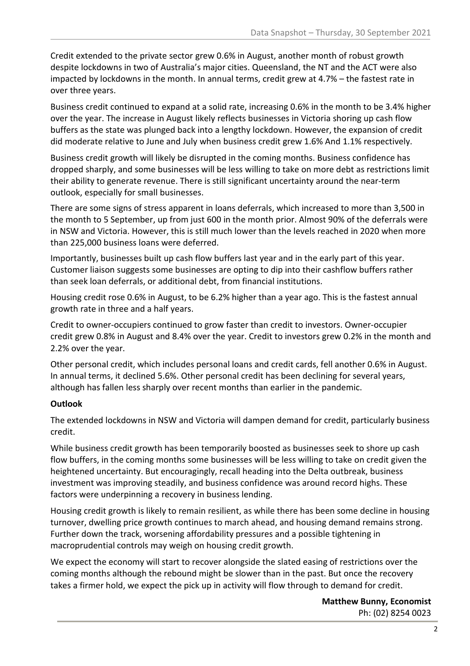Credit extended to the private sector grew 0.6% in August, another month of robust growth despite lockdowns in two of Australia's major cities. Queensland, the NT and the ACT were also impacted by lockdowns in the month. In annual terms, credit grew at 4.7% – the fastest rate in over three years.

Business credit continued to expand at a solid rate, increasing 0.6% in the month to be 3.4% higher over the year. The increase in August likely reflects businesses in Victoria shoring up cash flow buffers as the state was plunged back into a lengthy lockdown. However, the expansion of credit did moderate relative to June and July when business credit grew 1.6% And 1.1% respectively.

Business credit growth will likely be disrupted in the coming months. Business confidence has dropped sharply, and some businesses will be less willing to take on more debt as restrictions limit their ability to generate revenue. There is still significant uncertainty around the near-term outlook, especially for small businesses.

There are some signs of stress apparent in loans deferrals, which increased to more than 3,500 in the month to 5 September, up from just 600 in the month prior. Almost 90% of the deferrals were in NSW and Victoria. However, this is still much lower than the levels reached in 2020 when more than 225,000 business loans were deferred.

Importantly, businesses built up cash flow buffers last year and in the early part of this year. Customer liaison suggests some businesses are opting to dip into their cashflow buffers rather than seek loan deferrals, or additional debt, from financial institutions.

Housing credit rose 0.6% in August, to be 6.2% higher than a year ago. This is the fastest annual growth rate in three and a half years.

Credit to owner-occupiers continued to grow faster than credit to investors. Owner-occupier credit grew 0.8% in August and 8.4% over the year. Credit to investors grew 0.2% in the month and 2.2% over the year.

Other personal credit, which includes personal loans and credit cards, fell another 0.6% in August. In annual terms, it declined 5.6%. Other personal credit has been declining for several years, although has fallen less sharply over recent months than earlier in the pandemic.

#### **Outlook**

The extended lockdowns in NSW and Victoria will dampen demand for credit, particularly business credit.

While business credit growth has been temporarily boosted as businesses seek to shore up cash flow buffers, in the coming months some businesses will be less willing to take on credit given the heightened uncertainty. But encouragingly, recall heading into the Delta outbreak, business investment was improving steadily, and business confidence was around record highs. These factors were underpinning a recovery in business lending.

Housing credit growth is likely to remain resilient, as while there has been some decline in housing turnover, dwelling price growth continues to march ahead, and housing demand remains strong. Further down the track, worsening affordability pressures and a possible tightening in macroprudential controls may weigh on housing credit growth.

We expect the economy will start to recover alongside the slated easing of restrictions over the coming months although the rebound might be slower than in the past. But once the recovery takes a firmer hold, we expect the pick up in activity will flow through to demand for credit.